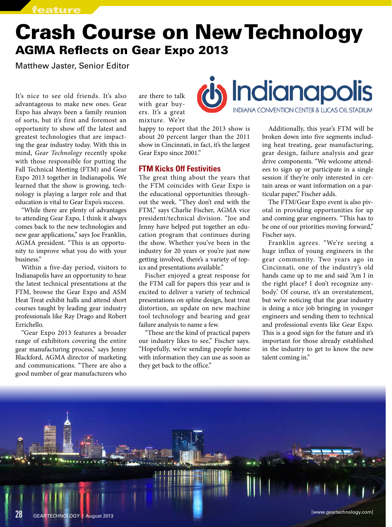# Crash Course on New Technology AGMA Reflects on Gear Expo 2013

Matthew Jaster, Senior Editor

It's nice to see old friends. It's also advantageous to make new ones. Gear Expo has always been a family reunion of sorts, but it's first and foremost an opportunity to show off the latest and greatest technologies that are impacting the gear industry today. With this in mind, *Gear Technology* recently spoke with those responsible for putting the Fall Technical Meeting (FTM) and Gear Expo 2013 together in Indianapolis. We learned that the show is growing, technology is playing a larger role and that education is vital to Gear Expo's success.

"While there are plenty of advantages to attending Gear Expo, I think it always comes back to the new technologies and new gear applications," says Joe Franklin, AGMA president. "This is an opportunity to improve what you do with your business."

Within a five-day period, visitors to Indianapolis have an opportunity to hear the latest technical presentations at the FTM, browse the Gear Expo and ASM Heat Treat exhibit halls and attend short courses taught by leading gear industry professionals like Ray Drago and Robert Errichello.

"Gear Expo 2013 features a broader range of exhibitors covering the entire gear manufacturing process," says Jenny Blackford, AGMA director of marketing and communications. "There are also a good number of gear manufacturers who

are there to talk with gear buyers. It's a great mixture. We're

happy to report that the 2013 show is about 20 percent larger than the 2011 show in Cincinnati, in fact, it's the largest Gear Expo since 2001."

### **FTM Kicks Off Festivities**

The great thing about the years that the FTM coincides with Gear Expo is the educational opportunities throughout the week. "They don't end with the FTM," says Charlie Fischer, AGMA vice president/technical division. "Joe and Jenny have helped put together an education program that continues during the show. Whether you've been in the industry for 20 years or you're just now getting involved, there's a variety of topics and presentations available."

Fischer enjoyed a great response for the FTM call for papers this year and is excited to deliver a variety of technical presentations on spline design, heat treat distortion, an update on new machine tool technology and bearing and gear failure analysis to name a few.

"These are the kind of practical papers our industry likes to see," Fischer says. "Hopefully, we're sending people home with information they can use as soon as they get back to the office."



Additionally, this year's FTM will be broken down into five segments including heat treating, gear manufacturing, gear design, failure analysis and gear drive components. "We welcome attendees to sign up or participate in a single session if they're only interested in certain areas or want information on a particular paper," Fischer adds.

The FTM/Gear Expo event is also pivotal in providing opportunities for up and coming gear engineers. "This has to be one of our priorities moving forward," Fischer says.

Franklin agrees. "We're seeing a huge influx of young engineers in the gear community. Two years ago in Cincinnati, one of the industry's old hands came up to me and said 'Am I in the right place? I don't recognize anybody.' Of course, it's an overstatement, but we're noticing that the gear industry is doing a nice job bringing in younger engineers and sending them to technical and professional events like Gear Expo. This is a good sign for the future and it's important for those already established in the industry to get to know the new talent coming in."

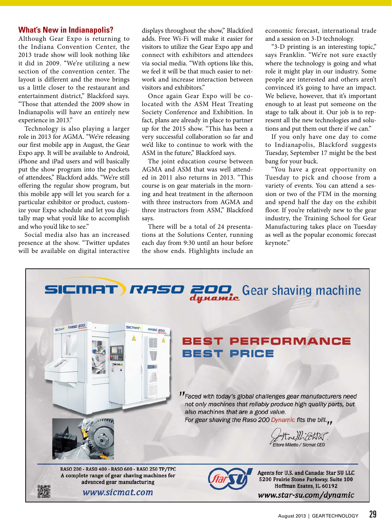#### **What's New in Indianapolis?**

Although Gear Expo is returning to the Indiana Convention Center, the 2013 trade show will look nothing like it did in 2009. "We're utilizing a new section of the convention center. The layout is different and the move brings us a little closer to the restaurant and entertainment district," Blackford says. "Those that attended the 2009 show in Indianapolis will have an entirely new experience in 2013."

Technology is also playing a larger role in 2013 for AGMA. "We're releasing our first mobile app in August, the Gear Expo app. It will be available to Android, iPhone and iPad users and will basically put the show program into the pockets of attendees," Blackford adds. "We're still offering the regular show program, but this mobile app will let you search for a particular exhibitor or product, customize your Expo schedule and let you digitally map what you'd like to accomplish and who you'd like to see."

Social media also has an increased presence at the show. "Twitter updates will be available on digital interactive

displays throughout the show," Blackford adds. Free Wi-Fi will make it easier for visitors to utilize the Gear Expo app and connect with exhibitors and attendees via social media. "With options like this, we feel it will be that much easier to network and increase interaction between visitors and exhibitors."

Once again Gear Expo will be colocated with the ASM Heat Treating Society Conference and Exhibition. In fact, plans are already in place to partner up for the 2015 show. "This has been a very successful collaboration so far and we'd like to continue to work with the ASM in the future," Blackford says.

The joint education course between AGMA and ASM that was well attended in 2011 also returns in 2013. "This course is on gear materials in the morning and heat treatment in the afternoon with three instructors from AGMA and three instructors from ASM," Blackford says.

There will be a total of 24 presentations at the Solutions Center, running each day from 9:30 until an hour before the show ends. Highlights include an

economic forecast, international trade and a session on 3-D technology.

"3-D printing is an interesting topic," says Franklin. "We're not sure exactly where the technology is going and what role it might play in our industry. Some people are interested and others aren't convinced it's going to have an impact. We believe, however, that it's important enough to at least put someone on the stage to talk about it. Our job is to represent all the new technologies and solutions and put them out there if we can."

If you only have one day to come to Indianapolis, Blackford suggests Tuesday, September 17 might be the best bang for your buck.

"You have a great opportunity on Tuesday to pick and choose from a variety of events. You can attend a session or two of the FTM in the morning and spend half the day on the exhibit floor. If you're relatively new to the gear industry, the Training School for Gear Manufacturing takes place on Tuesday as well as the popular economic forecast keynote."